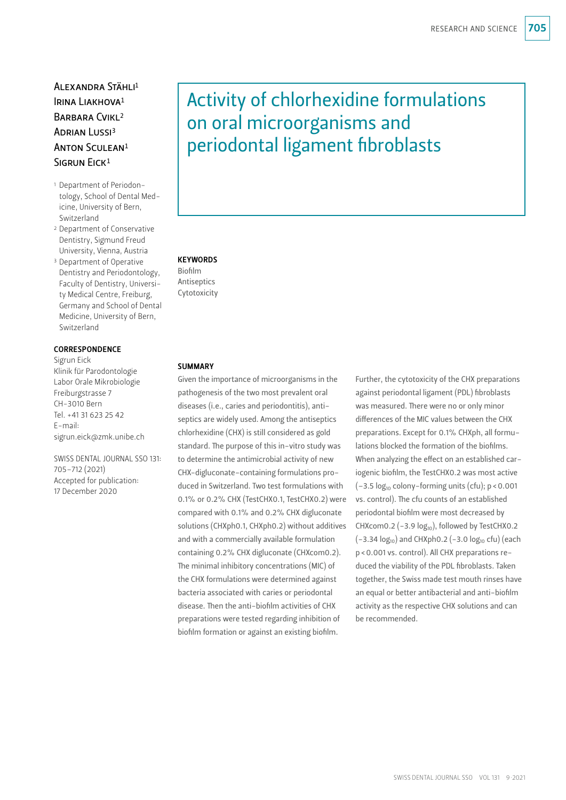# Alexandra Stähli1 IRINA LIAKHOVA<sup>1</sup> BARBARA CVIKL<sup>2</sup> ADRIAN LUSSI<sup>3</sup> Anton Sculean1 SIGRUN EICK<sup>1</sup>

- 1 Department of Periodontology, School of Dental Medicine, University of Bern, Switzerland
- 2 Department of Conservative Dentistry, Sigmund Freud University, Vienna, Austria
- 3 Department of Operative Dentistry and Periodontology, Faculty of Dentistry, University Medical Centre, Freiburg, Germany and School of Dental Medicine, University of Bern, Switzerland

# **CORRESPONDENCE**

Sigrun Eick Klinik für Parodontologie Labor Orale Mikrobiologie Freiburgstrasse 7 CH-3010 Bern Tel. +41 31 623 25 42 E-mail: sigrun.eick@zmk.unibe.ch

SWISS DENTAL JOURNAL SSO 131: 705–712 (2021) Accepted for publication: 17 December 2020

# Activity of chlorhexidine formulations on oral microorganisms and periodontal ligament fibroblasts

# **KEYWORDS**

Biofilm Antiseptics Cytotoxicity

# **SUMMARY**

Given the importance of microorganisms in the pathogenesis of the two most prevalent oral diseases (i.e., caries and periodontitis), antiseptics are widely used. Among the antiseptics chlorhexidine (CHX) is still considered as gold standard. The purpose of this in-vitro study was to determine the antimicrobial activity of new CHX-digluconate-containing formulations produced in Switzerland. Two test formulations with 0.1% or 0.2% CHX (TestCHX0.1, TestCHX0.2) were compared with 0.1% and 0.2% CHX digluconate solutions (CHXph0.1, CHXph0.2) without additives and with a commercially available formulation containing 0.2% CHX digluconate (CHXcom0.2). The minimal inhibitory concentrations (MIC) of the CHX formulations were determined against bacteria associated with caries or periodontal disease. Then the anti-biofilm activities of CHX preparations were tested regarding inhibition of biofilm formation or against an existing biofilm.

Further, the cytotoxicity of the CHX preparations against periodontal ligament (PDL) fibroblasts was measured. There were no or only minor differences of the MIC values between the CHX preparations. Except for 0.1% CHXph, all formulations blocked the formation of the biofilms. When analyzing the effect on an established cariogenic biofilm, the TestCHX0.2 was most active  $(-3.5 \log_{10} \text{colony-forming units (cfu)}; p < 0.001$ vs. control). The cfu counts of an established periodontal biofilm were most decreased by CHXcom0.2 (-3.9  $log_{10}$ ), followed by TestCHX0.2  $(-3.34 \log_{10})$  and CHXph0.2  $(-3.0 \log_{10}$  cfu) (each p<0.001 vs. control). All CHX preparations reduced the viability of the PDL fibroblasts. Taken together, the Swiss made test mouth rinses have an equal or better antibacterial and anti-biofilm activity as the respective CHX solutions and can be recommended.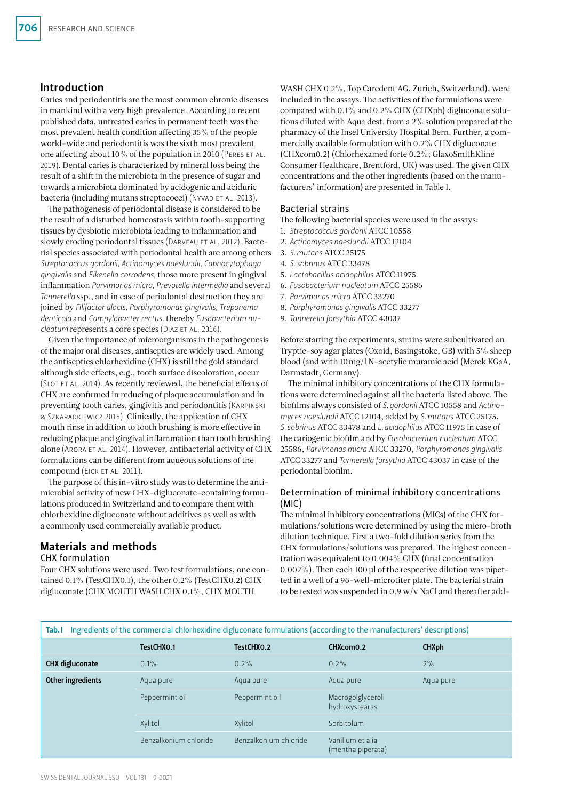# Introduction

Caries and periodontitis are the most common chronic diseases in mankind with a very high prevalence. According to recent published data, untreated caries in permanent teeth was the most prevalent health condition affecting 35% of the people world-wide and periodontitis was the sixth most prevalent one affecting about 10% of the population in 2010 (Peres et al. 2019). Dental caries is characterized by mineral loss being the result of a shift in the microbiota in the presence of sugar and towards a microbiota dominated by acidogenic and aciduric bacteria (including mutans streptococci) (NYVAD ET AL. 2013).

The pathogenesis of periodontal disease is considered to be the result of a disturbed homeostasis within tooth-supporting tissues by dysbiotic microbiota leading to inflammation and slowly eroding periodontal tissues (DARVEAU ET AL. 2012). Bacterial species associated with periodontal health are among others *Streptococcus gordonii, Actinomyces naeslundii, Capnocytophaga gingivalis* and *Eikenella corrodens,* those more present in gingival inflammation *Parvimonas micra, Prevotella intermedia* and several *Tannerella* ssp., and in case of periodontal destruction they are joined by *Filifactor alocis, Porphyromonas gingivalis, Treponema denticola* and *Campylobacter rectus,* thereby *Fusobacterium nucleatum* represents a core species (DIAZ ET AL. 2016).

Given the importance of microorganisms in the pathogenesis of the major oral diseases, antiseptics are widely used. Among the antiseptics chlorhexidine (CHX) is still the gold standard although side effects, e.g., tooth surface discoloration, occur (Slot et al. 2014). As recently reviewed, the beneficial effects of CHX are confirmed in reducing of plaque accumulation and in preventing tooth caries, gingivitis and periodontitis (Karpinski & Szkaradkiewicz 2015). Clinically, the application of CHX mouth rinse in addition to tooth brushing is more effective in reducing plaque and gingival inflammation than tooth brushing alone (ARORA ET AL. 2014). However, antibacterial activity of CHX formulations can be different from aqueous solutions of the compound (EICK ET AL. 2011).

The purpose of this in-vitro study was to determine the antimicrobial activity of new CHX-digluconate-containing formulations produced in Switzerland and to compare them with chlorhexidine digluconate without additives as well as with a commonly used commercially available product.

#### Materials and methods CHX formulation

Four CHX solutions were used. Two test formulations, one contained 0.1% (TestCHX0.1), the other 0.2% (TestCHX0.2) CHX digluconate (CHX MOUTH WASH CHX 0.1%, CHX MOUTH

WASH CHX 0.2%, Top Caredent AG, Zurich, Switzerland), were included in the assays. The activities of the formulations were compared with 0.1% and 0.2% CHX (CHXph) digluconate solutions diluted with Aqua dest. from a 2% solution prepared at the pharmacy of the Insel University Hospital Bern. Further, a commercially available formulation with 0.2% CHX digluconate (CHXcom0.2) (Chlorhexamed forte 0.2%; GlaxoSmithKline Consumer Healthcare, Brentford, UK) was used. The given CHX concentrations and the other ingredients (based on the manufacturers' information) are presented in Table I.

# Bacterial strains

The following bacterial species were used in the assays:

- 1. *Streptococcus gordonii* ATCC 10558
- 2. *Actinomyces naeslundii* ATCC 12104
- 3. *S.mutans* ATCC 25175
- 4. *S.sobrinus* ATCC 33478
- 5. *Lactobacillus acidophilus* ATCC 11975
- 6. *Fusobacterium nucleatum* ATCC 25586
- 7. *Parvimonas micra* ATCC 33270
- 8. *Porphyromonas gingivalis* ATCC 33277
- 9. *Tannerella forsythia* ATCC 43037

Before starting the experiments, strains were subcultivated on Tryptic-soy agar plates (Oxoid, Basingstoke, GB) with 5% sheep blood (and with 10mg/l N-acetylic muramic acid (Merck KGaA, Darmstadt, Germany).

The minimal inhibitory concentrations of the CHX formulations were determined against all the bacteria listed above. The biofilms always consisted of *S.gordonii* ATCC 10558 and *Actinomyces naeslundii* ATCC 12104, added by *S.mutans* ATCC 25175, *S.sobrinus* ATCC 33478 and *L.acidophilus* ATCC 11975 in case of the cariogenic biofilm and by *Fusobacterium nucleatum* ATCC 25586, *Parvimonas micra* ATCC 33270, *Porphyromonas gingivalis* ATCC 33277 and *Tannerella forsythia* ATCC 43037 in case of the periodontal biofilm.

# Determination of minimal inhibitory concentrations (MIC)

The minimal inhibitory concentrations (MICs) of the CHX formulations/solutions were determined by using the micro-broth dilution technique. First a two-fold dilution series from the CHX formulations/solutions was prepared. The highest concentration was equivalent to 0.004% CHX (final concentration 0.002%). Then each 100 µl of the respective dilution was pipetted in a well of a 96-well-microtiter plate. The bacterial strain to be tested was suspended in 0.9 w/v NaCl and thereafter add-

| Ingredients of the commercial chlorhexidine digluconate formulations (according to the manufacturers' descriptions)<br>Tab. I |                       |                       |                                       |              |  |  |  |
|-------------------------------------------------------------------------------------------------------------------------------|-----------------------|-----------------------|---------------------------------------|--------------|--|--|--|
|                                                                                                                               | TestCHX0.1            | TestCHX0.2            | CHXcom0.2                             | <b>CHXph</b> |  |  |  |
| <b>CHX</b> digluconate                                                                                                        | 0.1%                  | 0.2%                  | 0.2%                                  | 2%           |  |  |  |
| Other ingredients                                                                                                             | Aqua pure             | Aqua pure             | Aqua pure                             | Aqua pure    |  |  |  |
|                                                                                                                               | Peppermint oil        | Peppermint oil        | Macrogolglyceroli<br>hydroxystearas   |              |  |  |  |
|                                                                                                                               | Xylitol               | Xylitol               | Sorbitolum                            |              |  |  |  |
|                                                                                                                               | Benzalkonium chloride | Benzalkonium chloride | Vanillum et alia<br>(mentha piperata) |              |  |  |  |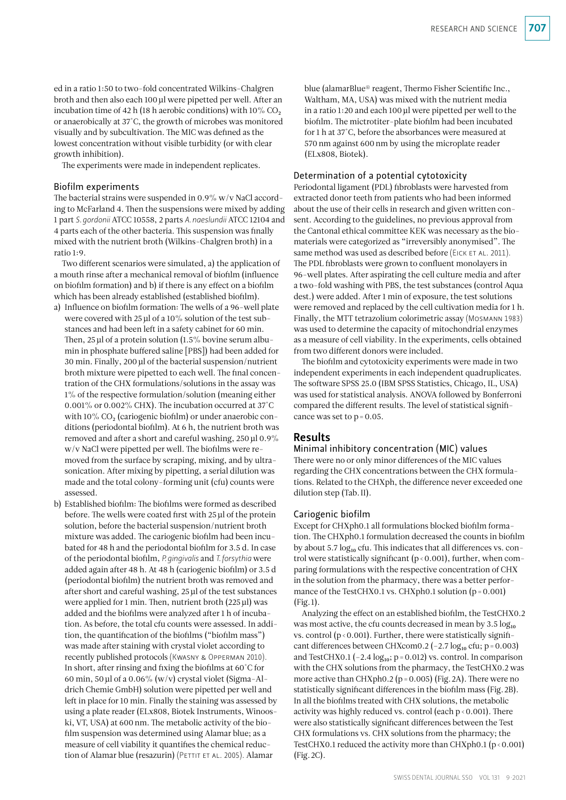ed in a ratio 1:50 to two-fold concentrated Wilkins-Chalgren broth and then also each 100 µl were pipetted per well. After an incubation time of 42 h (18 h aerobic conditions) with  $10\%$  CO<sub>2</sub> or anaerobically at 37°C, the growth of microbes was monitored visually and by subcultivation. The MIC was defined as the lowest concentration without visible turbidity (or with clear growth inhibition).

The experiments were made in independent replicates.

#### Biofilm experiments

The bacterial strains were suspended in 0.9% w/v NaCl according to McFarland 4. Then the suspensions were mixed by adding 1 part *S.gordonii* ATCC 10558, 2 parts *A.naeslundii* ATCC 12104 and 4 parts each of the other bacteria. This suspension was finally mixed with the nutrient broth (Wilkins-Chalgren broth) in a ratio 1:9.

Two different scenarios were simulated, a) the application of a mouth rinse after a mechanical removal of biofilm (influence on biofilm formation) and b) if there is any effect on a biofilm which has been already established (established biofilm).

- a) Influence on biofilm formation: The wells of a 96-well plate were covered with 25µl of a 10% solution of the test substances and had been left in a safety cabinet for 60 min. Then, 25 µl of a protein solution (1.5% bovine serum albumin in phosphate buffered saline [PBS]) had been added for 30 min. Finally, 200µl of the bacterial suspension/nutrient broth mixture were pipetted to each well. The final concentration of the CHX formulations/solutions in the assay was 1% of the respective formulation/solution (meaning either 0.001% or 0.002% CHX). The incubation occurred at 37°C with  $10\%$  CO<sub>2</sub> (cariogenic biofilm) or under anaerobic conditions (periodontal biofilm). At 6 h, the nutrient broth was removed and after a short and careful washing, 250µl 0.9% w/v NaCl were pipetted per well. The biofilms were removed from the surface by scraping, mixing, and by ultrasonication. After mixing by pipetting, a serial dilution was made and the total colony-forming unit (cfu) counts were assessed.
- b) Established biofilm: The biofilms were formed as described before. The wells were coated first with 25 µl of the protein solution, before the bacterial suspension/nutrient broth mixture was added. The cariogenic biofilm had been incubated for 48 h and the periodontal biofilm for 3.5 d. In case of the periodontal biofilm, *P.gingivalis* and *T.forsythia* were added again after 48 h. At 48 h (cariogenic biofilm) or 3.5 d (periodontal biofilm) the nutrient broth was removed and after short and careful washing, 25µl of the test substances were applied for 1 min. Then, nutrient broth (225µl) was added and the biofilms were analyzed after 1 h of incubation. As before, the total cfu counts were assessed. In addition, the quantification of the biofilms ("biofilm mass") was made after staining with crystal violet according to recently published protocols (Kwasny & Opperman 2010). In short, after rinsing and fixing the biofilms at 60°C for 60 min, 50 µl of a 0.06% (w/v) crystal violet (Sigma-Aldrich Chemie GmbH) solution were pipetted per well and left in place for 10 min. Finally the staining was assessed by using a plate reader (ELx808, Biotek Instruments, Winooski, VT, USA) at 600 nm. The metabolic activity of the biofilm suspension was determined using Alamar blue; as a measure of cell viability it quantifies the chemical reduction of Alamar blue (resazurin) (PETTIT ET AL. 2005). Alamar

blue (alamarBlue® reagent, Thermo Fisher Scientific Inc., Waltham, MA, USA) was mixed with the nutrient media in a ratio 1:20 and each 100µl were pipetted per well to the biofilm. The mictrotiter-plate biofilm had been incubated for 1 h at 37°C, before the absorbances were measured at 570nm against 600nm by using the microplate reader (ELx808, Biotek).

#### Determination of a potential cytotoxicity

Periodontal ligament (PDL) fibroblasts were harvested from extracted donor teeth from patients who had been informed about the use of their cells in research and given written consent. According to the guidelines, no previous approval from the Cantonal ethical committee KEK was necessary as the biomaterials were categorized as "irreversibly anonymised". The same method was used as described before (EICK ET AL. 2011). The PDL fibroblasts were grown to confluent monolayers in 96-well plates. After aspirating the cell culture media and after a two-fold washing with PBS, the test substances (control Aqua dest.) were added. After 1 min of exposure, the test solutions were removed and replaced by the cell cultivation media for 1 h. Finally, the MTT tetrazolium colorimetric assay (Mosmann 1983) was used to determine the capacity of mitochondrial enzymes as a measure of cell viability. In the experiments, cells obtained from two different donors were included.

The biofilm and cytotoxicity experiments were made in two independent experiments in each independent quadruplicates. The software SPSS 25.0 (IBM SPSS Statistics, Chicago, IL, USA) was used for statistical analysis. ANOVA followed by Bonferroni compared the different results. The level of statistical significance was set to  $p = 0.05$ .

# Results

#### Minimal inhibitory concentration (MIC) values

There were no or only minor differences of the MIC values regarding the CHX concentrations between the CHX formulations. Related to the CHXph, the difference never exceeded one dilution step (Tab.II).

#### Cariogenic biofilm

Except for CHXph0.1 all formulations blocked biofilm formation. The CHXph0.1 formulation decreased the counts in biofilm by about 5.7  $log_{10}$  cfu. This indicates that all differences vs. control were statistically significant ( $p < 0.001$ ), further, when comparing formulations with the respective concentration of CHX in the solution from the pharmacy, there was a better performance of the TestCHX0.1 vs. CHXph0.1 solution  $(p = 0.001)$ (Fig. 1).

Analyzing the effect on an established biofilm, the TestCHX0.2 was most active, the cfu counts decreased in mean by  $3.5 \log_{10}$ vs. control ( $p < 0.001$ ). Further, there were statistically significant differences between CHXcom0.2 ( $-2.7 \log_{10}$  cfu; p=0.003) and TestCHX0.1 (-2.4  $log_{10}$ ; p=0.012) vs. control. In comparison with the CHX solutions from the pharmacy, the TestCHX0.2 was more active than CHXph0.2 (p=0.005) (Fig.2A). There were no statistically significant differences in the biofilm mass (Fig.2B). In all the biofilms treated with CHX solutions, the metabolic activity was highly reduced vs. control (each  $p < 0.001$ ). There were also statistically significant differences between the Test CHX formulations vs. CHX solutions from the pharmacy; the TestCHX0.1 reduced the activity more than CHXph0.1 ( $p < 0.001$ ) (Fig.2C).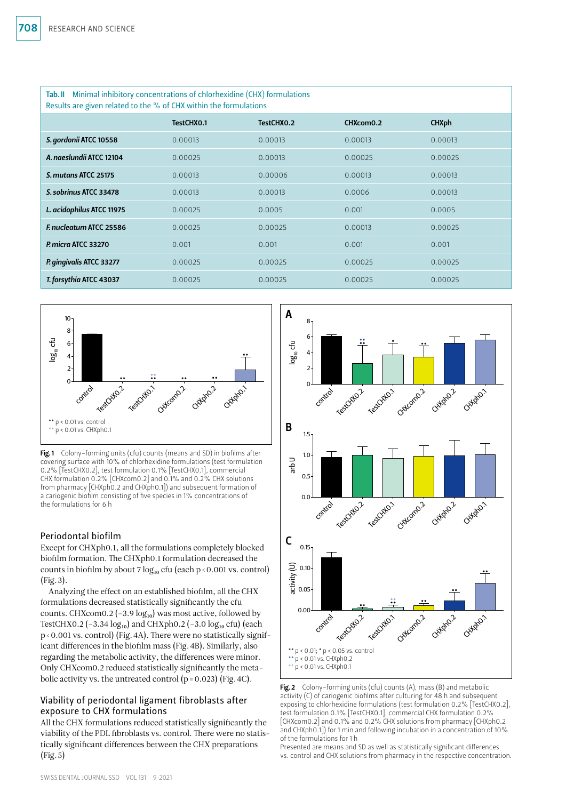| Tab. II Minimal inhibitory concentrations of chlorhexidine (CHX) formulations<br>Results are given related to the % of CHX within the formulations |            |            |           |              |  |  |  |
|----------------------------------------------------------------------------------------------------------------------------------------------------|------------|------------|-----------|--------------|--|--|--|
|                                                                                                                                                    | TestCHX0.1 | TestCHX0.2 | CHXcom0.2 | <b>CHXph</b> |  |  |  |
| S. gordonii ATCC 10558                                                                                                                             | 0.00013    | 0.00013    | 0.00013   | 0.00013      |  |  |  |
| A. naeslundii ATCC 12104                                                                                                                           | 0.00025    | 0.00013    | 0.00025   | 0.00025      |  |  |  |
| S. mutans ATCC 25175                                                                                                                               | 0.00013    | 0.00006    | 0.00013   | 0.00013      |  |  |  |
| S. sobrinus ATCC 33478                                                                                                                             | 0.00013    | 0.00013    | 0.0006    | 0.00013      |  |  |  |
| L. acidophilus ATCC 11975                                                                                                                          | 0.00025    | 0.0005     | 0.001     | 0.0005       |  |  |  |
| F. nucleatum ATCC 25586                                                                                                                            | 0.00025    | 0.00025    | 0.00013   | 0.00025      |  |  |  |
| P. micra ATCC 33270                                                                                                                                | 0.001      | 0.001      | 0.001     | 0.001        |  |  |  |
| P. gingivalis ATCC 33277                                                                                                                           | 0.00025    | 0.00025    | 0.00025   | 0.00025      |  |  |  |
| T. forsythia ATCC 43037                                                                                                                            | 0.00025    | 0.00025    | 0.00025   | 0.00025      |  |  |  |



Fig.1 Colony-forming units (cfu) counts (means and SD) in biofilms after covering surface with 10% of chlorhexidine formulations (test formulation 0.2% [TestCHX0.2], test formulation 0.1% [TestCHX0.1], commercial CHX formulation 0.2% [CHXcom0.2] and 0.1% and 0.2% CHX solutions from pharmacy [CHXph0.2 and CHXph0.1]) and subsequent formation of a cariogenic biofilm consisting of five species in 1% concentrations of the formulations for 6 h

# Periodontal biofilm

Except for CHXph0.1, all the formulations completely blocked biofilm formation. The CHXph0.1 formulation decreased the counts in biofilm by about 7  $log_{10}$  cfu (each p < 0.001 vs. control) (Fig.3).

Analyzing the effect on an established biofilm, all the CHX formulations decreased statistically significantly the cfu counts. CHXcom0.2 (-3.9  $log_{10}$ ) was most active, followed by TestCHX0.2 (-3.34  $log_{10}$ ) and CHXph0.2 (-3.0  $log_{10}$  cfu) (each p<0.001 vs. control) (Fig.4A). There were no statistically significant differences in the biofilm mass (Fig.4B). Similarly, also regarding the metabolic activity, the differences were minor. Only CHXcom0.2 reduced statistically significantly the metabolic activity vs. the untreated control  $(p = 0.023)$  (Fig. 4C).

# Viability of periodontal ligament fibroblasts after exposure to CHX formulations

All the CHX formulations reduced statistically significantly the viability of the PDL fibroblasts vs. control. There were no statistically significant differences between the CHX preparations (Fig.5)





Presented are means and SD as well as statistically significant differences vs. control and CHX solutions from pharmacy in the respective concentration.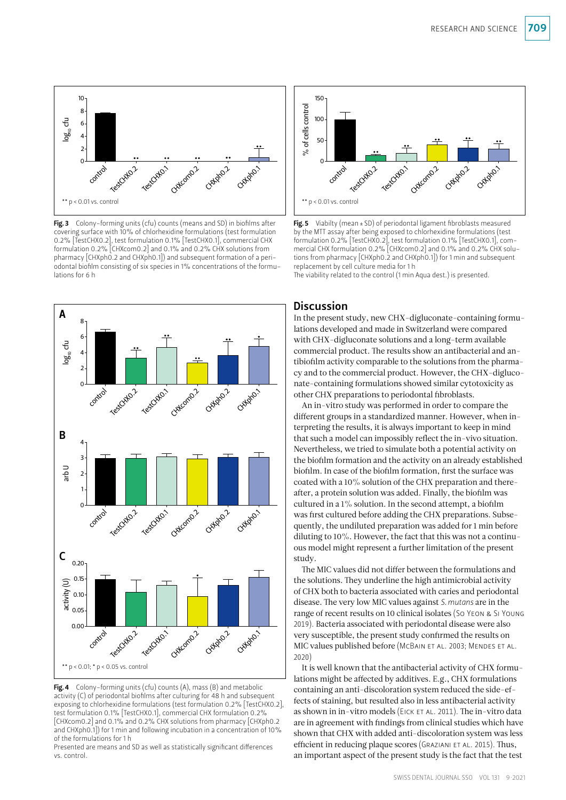

Fig. 3 Colony-forming units (cfu) counts (means and SD) in biofilms after covering surface with 10% of chlorhexidine formulations (test formulation 0.2% [TestCHX0.2], test formulation 0.1% [TestCHX0.1], commercial CHX formulation 0.2% [CHXcom0.2] and 0.1% and 0.2% CHX solutions from pharmacy [CHXph0.2 and CHXph0.1]) and subsequent formation of a periodontal biofilm consisting of six species in 1% concentrations of the formulations for 6 h



Fig. 4 Colony-forming units (cfu) counts  $(A)$ , mass  $(B)$  and metabolic activity (C) of periodontal biofilms after culturing for 48 h and subsequent exposing to chlorhexidine formulations (test formulation 0.2% [TestCHX0.2]. test formulation 0.1% [TestCHX0.1], commercial CHX formulation 0.2% [CHXcom0.2] and 0.1% and 0.2% CHX solutions from pharmacy [CHXph0.2 and CHXph0.1]) for 1 min and following incubation in a concentration of 10% of the formulations for 1 h

Presented are means and SD as well as statistically significant differences vs. control.



Fig. 5 Viabilty (mean  $\pm$  SD) of periodontal ligament fibroblasts measured by the MTT assay after being exposed to chlorhexidine formulations (test formulation 0.2% [TestCHX0.2], test formulation 0.1% [TestCHX0.1], commercial CHX formulation 0.2% [CHXcom0.2] and 0.1% and 0.2% CHX solutions from pharmacy [CHXph0.2 and CHXph0.1]) for 1 min and subsequent replacement by cell culture media for 1 h

The viability related to the control (1 min Aqua dest.) is presented.

# **Discussion**

In the present study, new CHX-digluconate-containing formulations developed and made in Switzerland were compared with CHX-digluconate solutions and a long-term available commercial product. The results show an antibacterial and antibiofilm activity comparable to the solutions from the pharmacy and to the commercial product. However, the CHX-digluconate-containing formulations showed similar cytotoxicity as other CHX preparations to periodontal fibroblasts.

An in-vitro study was performed in order to compare the different groups in a standardized manner. However, when interpreting the results, it is always important to keep in mind that such a model can impossibly reflect the in-vivo situation. Nevertheless, we tried to simulate both a potential activity on the biofilm formation and the activity on an already established biofilm. In case of the biofilm formation, first the surface was coated with a 10% solution of the CHX preparation and thereafter, a protein solution was added. Finally, the biofilm was cultured in a 1% solution. In the second attempt, a biofilm was first cultured before adding the CHX preparations. Subsequently, the undiluted preparation was added for 1 min before diluting to 10%. However, the fact that this was not a continuous model might represent a further limitation of the present study.

The MIC values did not differ between the formulations and the solutions. They underline the high antimicrobial activity of CHX both to bacteria associated with caries and periodontal disease. The very low MIC values against *S.mutans* are in the range of recent results on 10 clinical isolates (So Yeon & Si Young 2019). Bacteria associated with periodontal disease were also very susceptible, the present study confirmed the results on MIC values published before (McBain et al. 2003; Mendes et al. 2020)

It is well known that the antibacterial activity of CHX formulations might be affected by additives. E.g., CHX formulations containing an anti-discoloration system reduced the side-effects of staining, but resulted also in less antibacterial activity as shown in in-vitro models (EICK ET AL. 2011). The in-vitro data are in agreement with findings from clinical studies which have shown that CHX with added anti-discoloration system was less efficient in reducing plaque scores (GRAZIANI ET AL. 2015). Thus, an important aspect of the present study is the fact that the test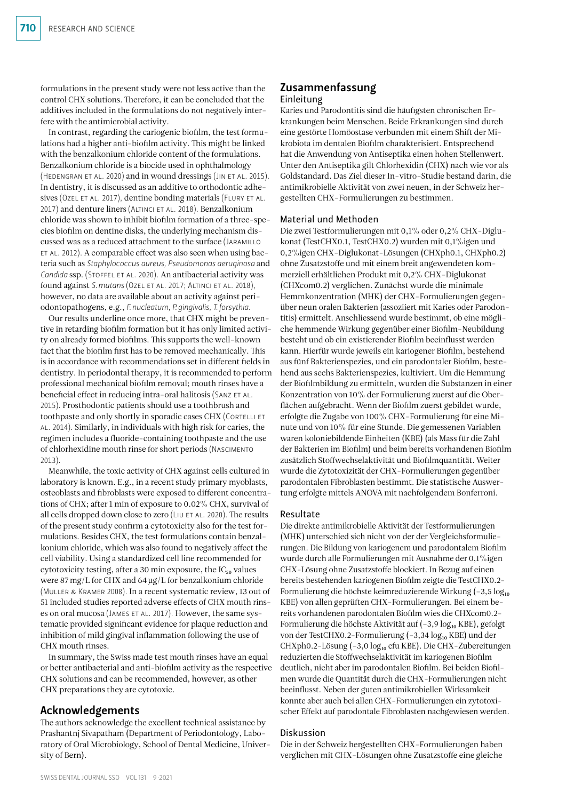formulations in the present study were not less active than the control CHX solutions. Therefore, it can be concluded that the additives included in the formulations do not negatively interfere with the antimicrobial activity.

In contrast, regarding the cariogenic biofilm, the test formulations had a higher anti-biofilm activity. This might be linked with the benzalkonium chloride content of the formulations. Benzalkonium chloride is a biocide used in ophthalmology (Hedengran et al. 2020) and in wound dressings (Jin et al. 2015). In dentistry, it is discussed as an additive to orthodontic adhesives (Ozel ET AL. 2017), dentine bonding materials (FLURY ET AL. 2017) and denture liners (Altinci et al. 2018). Benzalkonium chloride was shown to inhibit biofilm formation of a three-species biofilm on dentine disks, the underlying mechanism discussed was as a reduced attachment to the surface (Jaramillo et al. 2012). A comparable effect was also seen when using bacteria such as *Staphylococcus aureus, Pseudomonas aeruginosa* and *Candida* ssp. (Stoffel et al. 2020). An antibacterial activity was found against *S.mutans* (Ozel et al. 2017; Altinci et al. 2018), however, no data are available about an activity against periodontopathogens, e.g., *F.nucleatum, P.gingivalis, T.forsythia.*

Our results underline once more, that CHX might be preventive in retarding biofilm formation but it has only limited activity on already formed biofilms. This supports the well-known fact that the biofilm first has to be removed mechanically. This is in accordance with recommendations set in different fields in dentistry. In periodontal therapy, it is recommended to perform professional mechanical biofilm removal; mouth rinses have a beneficial effect in reducing intra-oral halitosis (SANZ ET AL. 2015). Prosthodontic patients should use a toothbrush and toothpaste and only shortly in sporadic cases CHX (CORTELLI ET al. 2014). Similarly, in individuals with high risk for caries, the regimen includes a fluoride-containing toothpaste and the use of chlorhexidine mouth rinse for short periods (Nascimento 2013).

Meanwhile, the toxic activity of CHX against cells cultured in laboratory is known. E.g., in a recent study primary myoblasts, osteoblasts and fibroblasts were exposed to different concentrations of CHX; after 1 min of exposure to 0.02% CHX, survival of all cells dropped down close to zero (LIU ET AL. 2020). The results of the present study confirm a cytotoxicity also for the test formulations. Besides CHX, the test formulations contain benzalkonium chloride, which was also found to negatively affect the cell viability. Using a standardized cell line recommended for cytotoxicity testing, after a 30 min exposure, the  $IC_{50}$  values were 87mg/L for CHX and 64µg/L for benzalkonium chloride (Muller & Kramer 2008). In a recent systematic review, 13 out of 51 included studies reported adverse effects of CHX mouth rinses on oral mucosa (James et al. 2017). However, the same systematic provided significant evidence for plaque reduction and inhibition of mild gingival inflammation following the use of CHX mouth rinses.

In summary, the Swiss made test mouth rinses have an equal or better antibacterial and anti-biofilm activity as the respective CHX solutions and can be recommended, however, as other CHX preparations they are cytotoxic.

# Acknowledgements

The authors acknowledge the excellent technical assistance by Prashantnj Sivapatham (Department of Periodontology, Laboratory of Oral Microbiology, School of Dental Medicine, University of Bern).

# Zusammenfassung

Einleitung

Karies und Parodontitis sind die häufigsten chronischen Erkrankungen beim Menschen. Beide Erkrankungen sind durch eine gestörte Homöostase verbunden mit einem Shift der Mikrobiota im dentalen Biofilm charakterisiert. Entsprechend hat die Anwendung von Antiseptika einen hohen Stellenwert. Unter den Antiseptika gilt Chlorhexidin (CHX) nach wie vor als Goldstandard. Das Ziel dieser In-vitro-Studie bestand darin, die antimikrobielle Aktivität von zwei neuen, in der Schweiz hergestellten CHX-Formulierungen zu bestimmen.

# Material und Methoden

Die zwei Testformulierungen mit 0,1% oder 0,2% CHX-Diglukonat (TestCHX0.1, TestCHX0.2) wurden mit 0,1%igen und 0,2%igen CHX-Diglukonat-Lösungen (CHXph0.1, CHXph0.2) ohne Zusatzstoffe und mit einem breit angewendeten kommerziell erhältlichen Produkt mit 0,2% CHX-Diglukonat (CHXcom0.2) verglichen. Zunächst wurde die minimale Hemmkonzentration (MHK) der CHX-Formulierungen gegenüber neun oralen Bakterien (assoziiert mit Karies oder Parodontitis) ermittelt. Anschliessend wurde bestimmt, ob eine mögliche hemmende Wirkung gegenüber einer Biofilm-Neubildung besteht und ob ein existierender Biofilm beeinflusst werden kann. Hierfür wurde jeweils ein kariogener Biofilm, bestehend aus fünf Bakterienspezies, und ein parodontaler Biofilm, bestehend aus sechs Bakterienspezies, kultiviert. Um die Hemmung der Biofilmbildung zu ermitteln, wurden die Substanzen in einer Konzentration von 10% der Formulierung zuerst auf die Oberflächen aufgebracht. Wenn der Biofilm zuerst gebildet wurde, erfolgte die Zugabe von 100% CHX-Formulierung für eine Minute und von 10% für eine Stunde. Die gemessenen Variablen waren koloniebildende Einheiten (KBE) (als Mass für die Zahl der Bakterien im Biofilm) und beim bereits vorhandenen Biofilm zusätzlich Stoffwechselaktivität und Biofilmquantität. Weiter wurde die Zytotoxizität der CHX-Formulierungen gegenüber parodontalen Fibroblasten bestimmt. Die statistische Auswertung erfolgte mittels ANOVA mit nachfolgendem Bonferroni.

#### Resultate

Die direkte antimikrobielle Aktivität der Testformulierungen (MHK) unterschied sich nicht von der der Vergleichsformulierungen. Die Bildung von kariogenem und parodontalem Biofilm wurde durch alle Formulierungen mit Ausnahme der 0,1%igen CHX-Lösung ohne Zusatzstoffe blockiert. In Bezug auf einen bereits bestehenden kariogenen Biofilm zeigte die TestCHX0.2- Formulierung die höchste keimreduzierende Wirkung  $(-3.5 \log_{10}$ KBE) von allen geprüften CHX-Formulierungen. Bei einem bereits vorhandenen parodontalen Biofilm wies die CHXcom0.2- Formulierung die höchste Aktivität auf (-3,9 log<sub>10</sub> KBE), gefolgt von der TestCHX0.2-Formulierung (-3,34 log10 KBE) und der CHXph0.2-Lösung (-3,0 log<sub>10</sub> cfu KBE). Die CHX-Zubereitungen reduzierten die Stoffwechselaktivität im kariogenen Biofilm deutlich, nicht aber im parodontalen Biofilm. Bei beiden Biofilmen wurde die Quantität durch die CHX-Formulierungen nicht beeinflusst. Neben der guten antimikrobiellen Wirksamkeit konnte aber auch bei allen CHX-Formulierungen ein zytotoxischer Effekt auf parodontale Fibroblasten nachgewiesen werden.

## Diskussion

Die in der Schweiz hergestellten CHX-Formulierungen haben verglichen mit CHX-Lösungen ohne Zusatzstoffe eine gleiche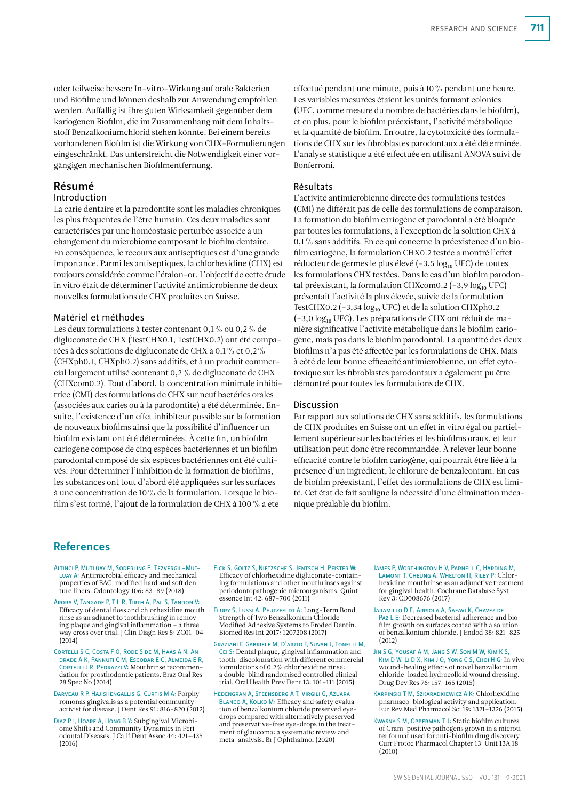oder teilweise bessere In-vitro-Wirkung auf orale Bakterien und Biofilme und können deshalb zur Anwendung empfohlen werden. Auffällig ist ihre guten Wirksamkeit gegenüber dem kariogenen Biofilm, die im Zusammenhang mit dem Inhaltsstoff Benzalkoniumchlorid stehen könnte. Bei einem bereits vorhandenen Biofilm ist die Wirkung von CHX-Formulierungen eingeschränkt. Das unterstreicht die Notwendigkeit einer vorgängigen mechanischen Biofilmentfernung.

# Résumé

## Introduction

La carie dentaire et la parodontite sont les maladies chroniques les plus fréquentes de l'être humain. Ces deux maladies sont caractérisées par une homéostasie perturbée associée à un changement du microbiome composant le biofilm dentaire. En conséquence, le recours aux antiseptiques est d'une grande importance. Parmi les antiseptiques, la chlorhexidine (CHX) est toujours considérée comme l'étalon-or. L'objectif de cette étude in vitro était de déterminer l'activité antimicrobienne de deux nouvelles formulations de CHX produites en Suisse.

## Matériel et méthodes

Les deux formulations à tester contenant 0,1% ou 0,2% de digluconate de CHX (TestCHX0.1, TestCHX0.2) ont été comparées à des solutions de digluconate de CHX à 0,1% et 0,2% (CHXph0.1, CHXph0.2) sans additifs, et à un produit commercial largement utilisé contenant 0,2% de digluconate de CHX (CHXcom0.2). Tout d'abord, la concentration minimale inhibitrice (CMI) des formulations de CHX sur neuf bactéries orales (associées aux caries ou à la parodontite) a été déterminée. Ensuite, l'existence d'un effet inhibiteur possible sur la formation de nouveaux biofilms ainsi que la possibilité d'influencer un biofilm existant ont été déterminées. À cette fin, un biofilm cariogène composé de cinq espèces bactériennes et un biofilm parodontal composé de six espèces bactériennes ont été cultivés. Pour déterminer l'inhibition de la formation de biofilms, les substances ont tout d'abord été appliquées sur les surfaces à une concentration de 10% de la formulation. Lorsque le biofilm s'est formé, l'ajout de la formulation de CHX à 100% a été

effectué pendant une minute, puis à 10% pendant une heure. Les variables mesurées étaient les unités formant colonies (UFC, comme mesure du nombre de bactéries dans le biofilm), et en plus, pour le biofilm préexistant, l'activité métabolique et la quantité de biofilm. En outre, la cytotoxicité des formulations de CHX sur les fibroblastes parodontaux a été déterminée. L'analyse statistique a été effectuée en utilisant ANOVA suivi de Bonferroni.

#### Résultats

L'activité antimicrobienne directe des formulations testées (CMI) ne différait pas de celle des formulations de comparaison. La formation du biofilm cariogène et parodontal a été bloquée par toutes les formulations, à l'exception de la solution CHX à 0,1% sans additifs. En ce qui concerne la préexistence d'un biofilm cariogène, la formulation CHX0.2 testée a montré l'effet réducteur de germes le plus élevé  $(-3,5 \log_{10} UFC)$  de toutes les formulations CHX testées. Dans le cas d'un biofilm parodontal préexistant, la formulation CHXcom0.2 ( $-3.9 \log_{10}$  UFC) présentait l'activité la plus élevée, suivie de la formulation TestCHX0.2 ( $-3,34 \log_{10}$  UFC) et de la solution CHXph0.2  $(-3,0 \log_{10} UFC)$ . Les préparations de CHX ont réduit de manière significative l'activité métabolique dans le biofilm cariogène, mais pas dans le biofilm parodontal. La quantité des deux biofilms n'a pas été affectée par les formulations de CHX. Mais à côté de leur bonne efficacité antimicrobienne, un effet cytotoxique sur les fibroblastes parodontaux a également pu être démontré pour toutes les formulations de CHX.

#### Discussion

Par rapport aux solutions de CHX sans additifs, les formulations de CHX produites en Suisse ont un effet in vitro égal ou partiellement supérieur sur les bactéries et les biofilms oraux, et leur utilisation peut donc être recommandée. À relever leur bonne efficacité contre le biofilm cariogène, qui pourrait être liée à la présence d'un ingrédient, le chlorure de benzalconium. En cas de biofilm préexistant, l'effet des formulations de CHX est limité. Cet état de fait souligne la nécessité d'une élimination mécanique préalable du biofilm.

# References

- Altinci P, Mutluay M, Soderling E, Tezvergil-Mut-LUAY A: Antimicrobial efficacy and mechanical properties of BAC-modified hard and soft denture liners. Odontology 106: 83–89 (2018)
- Arora V, Tangade P, T L R, Tirth A, Pal S, Tandon V: Efficacy of dental floss and chlorhexidine mouth rinse as an adjunct to toothbrushing in removing plaque and gingival inflammation – a three way cross over trial. J Clin Diagn Res 8: ZC01–04  $(2014)$
- Cortelli S C, Costa F O, Rode S de M, Haas A N, Andrade A K, Pannuti C M, Escobar E C, Almeida E R, CORTELLI J R, PEDRAZZI V: Mouthrinse recommendation for prosthodontic patients. Braz Oral Res 28 Spec No (2014)
- Darveau R P, Hajishengallis G, Curtis M A: Porphyromonas gingivalis as a potential community activist for disease. J Dent Res 91: 816-820 (2012)
- Diaz P I, Hoare A, Hong B Y: Subgingival Microbiome Shifts and Community Dynamics in Periodontal Diseases. J Calif Dent Assoc 44: 421–435 (2016)
- Eick S, Goltz S, Nietzsche S, Jentsch H, Pfister W: Efficacy of chlorhexidine digluconate-containing formulations and other mouthrinses against periodontopathogenic microorganisms. Quintessence Int 42: 687–700 (2011)
- Flury S, Lussi A, Peutzfeldt A: Long-Term Bond Strength of Two Benzalkonium Chloride-Modified Adhesive Systems to Eroded Dentin. Biomed Res Int 2017: 1207208 (2017)
- Graziani F, Gabriele M, D'aiuto F, Suvan J, Tonelli M, Cei S: Dental plaque, gingival inflammation and tooth-discolouration with different commercial formulations of 0.2% chlorhexidine rinse: a double-blind randomised controlled clinical trial. Oral Health Prev Dent 13: 101–111 (2015)
- Hedengran A, Steensberg A T, Virgili G, Azuara-BLANCO A, KOLKO M: Efficacy and safety evaluation of benzalkonium chloride preserved eyedrops compared with alternatively preserved and preservative-free eye-drops in the treatment of glaucoma: a systematic review and meta-analysis. Br J Ophthalmol (2020)
- James P, Worthington H V, Parnell C, Harding M, Lamont T, Cheung A, Whelton H, Riley P: Chlorhexidine mouthrinse as an adjunctive treatment for gingival health. Cochrane Database Syst Rev 3: CD008676 (2017)
- Jaramillo D E, Arriola A, Safavi K, Chavez de Paz L E: Decreased bacterial adherence and biofilm growth on surfaces coated with a solution of benzalkonium chloride. J Endod 38: 821–825  $(2012)$
- Jin S G, Yousaf A M, Jang S W, Son M W, Kim K S, Kim D W, Li D X, Kim J O, Yong C S, Choi H G: In vivo wound-healing effects of novel benzalkonium chloride-loaded hydrocolloid wound dressing. Drug Dev Res 76: 157–165 (2015)
- Karpinski T M, Szkaradkiewicz A K: Chlorhexidine pharmaco-biological activity and application. Eur Rev Med Pharmacol Sci 19: 1321–1326 (2015)
- Kwasny S M, Opperman T J: Static biofilm cultures of Gram-positive pathogens grown in a microtiter format used for anti-biofilm drug discovery. Curr Protoc Pharmacol Chapter 13: Unit 13A 18 (2010)